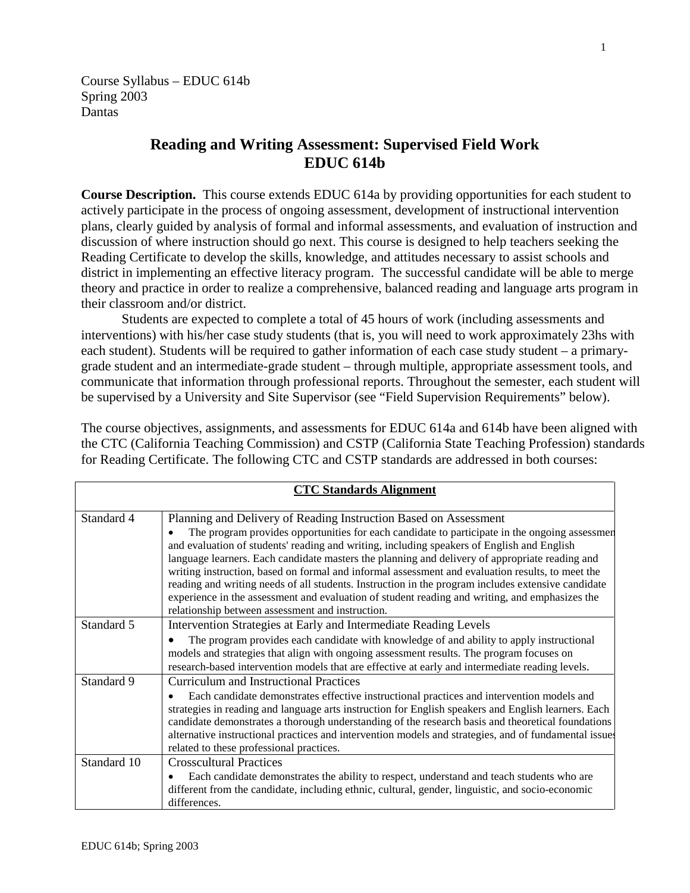Course Syllabus – EDUC 614b Spring 2003 Dantas

# **Reading and Writing Assessment: Supervised Field Work EDUC 614b**

**Course Description.** This course extends EDUC 614a by providing opportunities for each student to actively participate in the process of ongoing assessment, development of instructional intervention plans, clearly guided by analysis of formal and informal assessments, and evaluation of instruction and discussion of where instruction should go next. This course is designed to help teachers seeking the Reading Certificate to develop the skills, knowledge, and attitudes necessary to assist schools and district in implementing an effective literacy program. The successful candidate will be able to merge theory and practice in order to realize a comprehensive, balanced reading and language arts program in their classroom and/or district.

Students are expected to complete a total of 45 hours of work (including assessments and interventions) with his/her case study students (that is, you will need to work approximately 23hs with each student). Students will be required to gather information of each case study student – a primarygrade student and an intermediate-grade student – through multiple, appropriate assessment tools, and communicate that information through professional reports. Throughout the semester, each student will be supervised by a University and Site Supervisor (see "Field Supervision Requirements" below).

The course objectives, assignments, and assessments for EDUC 614a and 614b have been aligned with the CTC (California Teaching Commission) and CSTP (California State Teaching Profession) standards for Reading Certificate. The following CTC and CSTP standards are addressed in both courses:

| <b>CTC Standards Alignment</b> |                                                                                                                                                                                                                                                                                                                                                                                                                                                                                                                                                                                                                                                                                                                                    |  |  |
|--------------------------------|------------------------------------------------------------------------------------------------------------------------------------------------------------------------------------------------------------------------------------------------------------------------------------------------------------------------------------------------------------------------------------------------------------------------------------------------------------------------------------------------------------------------------------------------------------------------------------------------------------------------------------------------------------------------------------------------------------------------------------|--|--|
| Standard 4                     | Planning and Delivery of Reading Instruction Based on Assessment<br>The program provides opportunities for each candidate to participate in the ongoing assessment<br>and evaluation of students' reading and writing, including speakers of English and English<br>language learners. Each candidate masters the planning and delivery of appropriate reading and<br>writing instruction, based on formal and informal assessment and evaluation results, to meet the<br>reading and writing needs of all students. Instruction in the program includes extensive candidate<br>experience in the assessment and evaluation of student reading and writing, and emphasizes the<br>relationship between assessment and instruction. |  |  |
| Standard 5                     | Intervention Strategies at Early and Intermediate Reading Levels<br>The program provides each candidate with knowledge of and ability to apply instructional<br>models and strategies that align with ongoing assessment results. The program focuses on<br>research-based intervention models that are effective at early and intermediate reading levels.                                                                                                                                                                                                                                                                                                                                                                        |  |  |
| Standard 9                     | <b>Curriculum and Instructional Practices</b><br>Each candidate demonstrates effective instructional practices and intervention models and<br>strategies in reading and language arts instruction for English speakers and English learners. Each<br>candidate demonstrates a thorough understanding of the research basis and theoretical foundations<br>alternative instructional practices and intervention models and strategies, and of fundamental issue<br>related to these professional practices.                                                                                                                                                                                                                         |  |  |
| Standard 10                    | <b>Crosscultural Practices</b><br>Each candidate demonstrates the ability to respect, understand and teach students who are<br>different from the candidate, including ethnic, cultural, gender, linguistic, and socio-economic<br>differences.                                                                                                                                                                                                                                                                                                                                                                                                                                                                                    |  |  |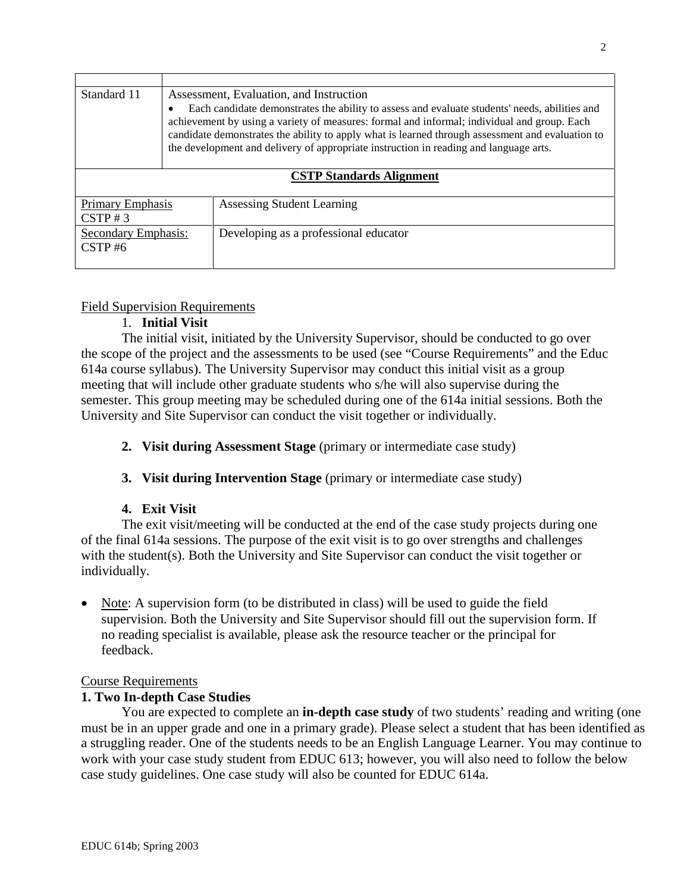| Standard 11                            | Assessment, Evaluation, and Instruction                                                                                                                                                                                                                                                                                                                                                   |                                       |  |  |
|----------------------------------------|-------------------------------------------------------------------------------------------------------------------------------------------------------------------------------------------------------------------------------------------------------------------------------------------------------------------------------------------------------------------------------------------|---------------------------------------|--|--|
|                                        | Each candidate demonstrates the ability to assess and evaluate students' needs, abilities and<br>achievement by using a variety of measures: formal and informal; individual and group. Each<br>candidate demonstrates the ability to apply what is learned through assessment and evaluation to<br>the development and delivery of appropriate instruction in reading and language arts. |                                       |  |  |
| <b>CSTP Standards Alignment</b>        |                                                                                                                                                                                                                                                                                                                                                                                           |                                       |  |  |
| <b>Primary Emphasis</b><br>$CSTP \# 3$ |                                                                                                                                                                                                                                                                                                                                                                                           | Assessing Student Learning            |  |  |
| <b>Secondary Emphasis:</b><br>CSTP#6   |                                                                                                                                                                                                                                                                                                                                                                                           | Developing as a professional educator |  |  |

### Field Supervision Requirements

## 1. **Initial Visit**

The initial visit, initiated by the University Supervisor, should be conducted to go over the scope of the project and the assessments to be used (see "Course Requirements" and the Educ 614a course syllabus). The University Supervisor may conduct this initial visit as a group meeting that will include other graduate students who s/he will also supervise during the semester. This group meeting may be scheduled during one of the 614a initial sessions. Both the University and Site Supervisor can conduct the visit together or individually.

**2. Visit during Assessment Stage** (primary or intermediate case study)

## **3. Visit during Intervention Stage** (primary or intermediate case study)

#### **4. Exit Visit**

The exit visit/meeting will be conducted at the end of the case study projects during one of the final 614a sessions. The purpose of the exit visit is to go over strengths and challenges with the student(s). Both the University and Site Supervisor can conduct the visit together or individually.

• Note: A supervision form (to be distributed in class) will be used to guide the field supervision. Both the University and Site Supervisor should fill out the supervision form. If no reading specialist is available, please ask the resource teacher or the principal for feedback.

#### Course Requirements

## **1. Two In-depth Case Studies**

You are expected to complete an **in-depth case study** of two students' reading and writing (one must be in an upper grade and one in a primary grade). Please select a student that has been identified as a struggling reader. One of the students needs to be an English Language Learner. You may continue to work with your case study student from EDUC 613; however, you will also need to follow the below case study guidelines. One case study will also be counted for EDUC 614a.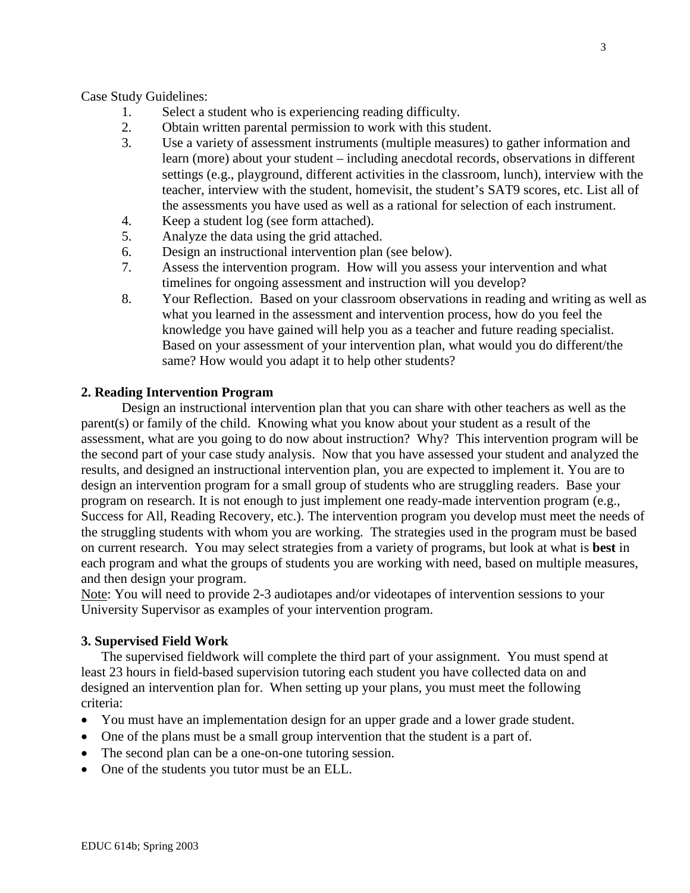Case Study Guidelines:

- 1. Select a student who is experiencing reading difficulty.
- 2. Obtain written parental permission to work with this student.
- 3. Use a variety of assessment instruments (multiple measures) to gather information and learn (more) about your student – including anecdotal records, observations in different settings (e.g., playground, different activities in the classroom, lunch), interview with the teacher, interview with the student, homevisit, the student's SAT9 scores, etc. List all of the assessments you have used as well as a rational for selection of each instrument.
- 4. Keep a student log (see form attached).
- 5. Analyze the data using the grid attached.
- 6. Design an instructional intervention plan (see below).
- 7. Assess the intervention program. How will you assess your intervention and what timelines for ongoing assessment and instruction will you develop?
- 8. Your Reflection. Based on your classroom observations in reading and writing as well as what you learned in the assessment and intervention process, how do you feel the knowledge you have gained will help you as a teacher and future reading specialist. Based on your assessment of your intervention plan, what would you do different/the same? How would you adapt it to help other students?

#### **2. Reading Intervention Program**

Design an instructional intervention plan that you can share with other teachers as well as the parent(s) or family of the child. Knowing what you know about your student as a result of the assessment, what are you going to do now about instruction? Why? This intervention program will be the second part of your case study analysis. Now that you have assessed your student and analyzed the results, and designed an instructional intervention plan, you are expected to implement it. You are to design an intervention program for a small group of students who are struggling readers. Base your program on research. It is not enough to just implement one ready-made intervention program (e.g., Success for All, Reading Recovery, etc.). The intervention program you develop must meet the needs of the struggling students with whom you are working. The strategies used in the program must be based on current research. You may select strategies from a variety of programs, but look at what is **best** in each program and what the groups of students you are working with need, based on multiple measures, and then design your program.

Note: You will need to provide 2-3 audiotapes and/or videotapes of intervention sessions to your University Supervisor as examples of your intervention program.

#### **3. Supervised Field Work**

The supervised fieldwork will complete the third part of your assignment. You must spend at least 23 hours in field-based supervision tutoring each student you have collected data on and designed an intervention plan for. When setting up your plans, you must meet the following criteria:

- You must have an implementation design for an upper grade and a lower grade student.
- One of the plans must be a small group intervention that the student is a part of.
- The second plan can be a one-on-one tutoring session.
- One of the students you tutor must be an ELL.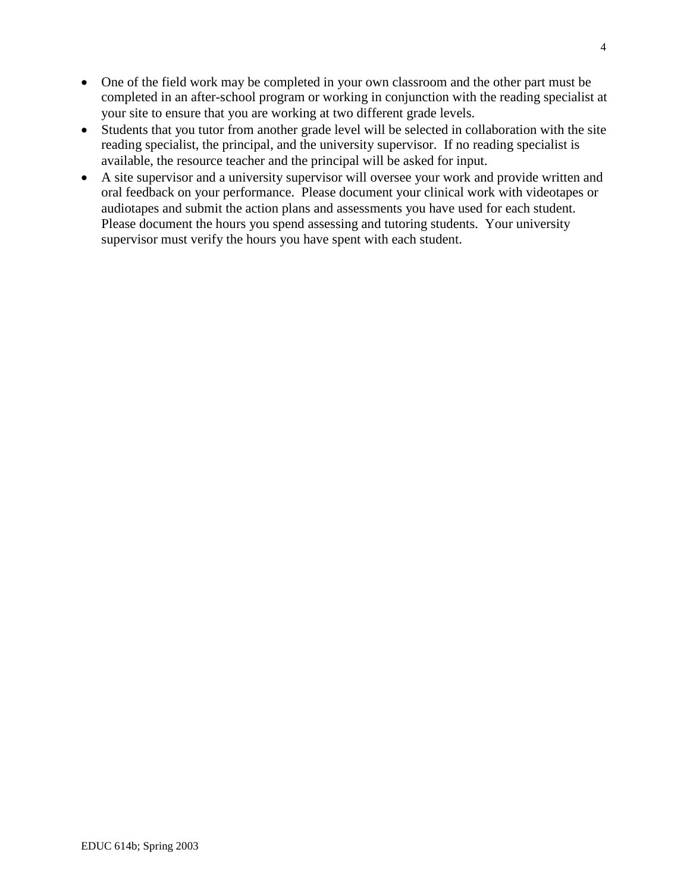- One of the field work may be completed in your own classroom and the other part must be completed in an after-school program or working in conjunction with the reading specialist at your site to ensure that you are working at two different grade levels.
- Students that you tutor from another grade level will be selected in collaboration with the site reading specialist, the principal, and the university supervisor. If no reading specialist is available, the resource teacher and the principal will be asked for input.
- A site supervisor and a university supervisor will oversee your work and provide written and oral feedback on your performance. Please document your clinical work with videotapes or audiotapes and submit the action plans and assessments you have used for each student. Please document the hours you spend assessing and tutoring students. Your university supervisor must verify the hours you have spent with each student.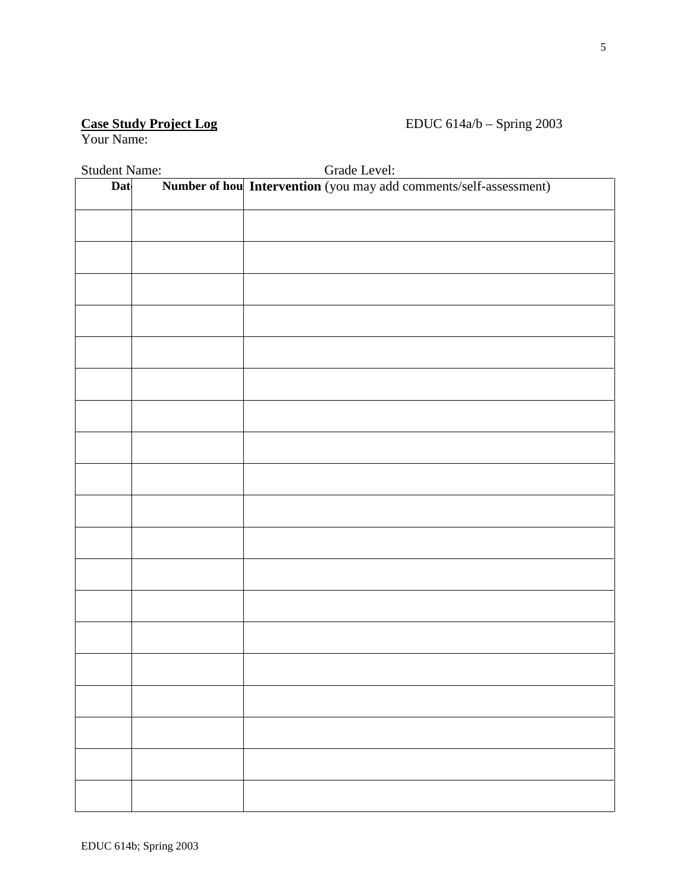# Case Study Project Log<br>Your Name:

## EDUC 614a/b – Spring 2003

| <b>Student Name:</b><br>Grade Level: |  |                                                                   |  |  |  |
|--------------------------------------|--|-------------------------------------------------------------------|--|--|--|
| Dat                                  |  | Number of hou Intervention (you may add comments/self-assessment) |  |  |  |
|                                      |  |                                                                   |  |  |  |
|                                      |  |                                                                   |  |  |  |
|                                      |  |                                                                   |  |  |  |
|                                      |  |                                                                   |  |  |  |
|                                      |  |                                                                   |  |  |  |
|                                      |  |                                                                   |  |  |  |
|                                      |  |                                                                   |  |  |  |
|                                      |  |                                                                   |  |  |  |
|                                      |  |                                                                   |  |  |  |
|                                      |  |                                                                   |  |  |  |
|                                      |  |                                                                   |  |  |  |
|                                      |  |                                                                   |  |  |  |
|                                      |  |                                                                   |  |  |  |
|                                      |  |                                                                   |  |  |  |
|                                      |  |                                                                   |  |  |  |
|                                      |  |                                                                   |  |  |  |
|                                      |  |                                                                   |  |  |  |
|                                      |  |                                                                   |  |  |  |
|                                      |  |                                                                   |  |  |  |
|                                      |  |                                                                   |  |  |  |
|                                      |  |                                                                   |  |  |  |
|                                      |  |                                                                   |  |  |  |
|                                      |  |                                                                   |  |  |  |
|                                      |  |                                                                   |  |  |  |
|                                      |  |                                                                   |  |  |  |
|                                      |  |                                                                   |  |  |  |
|                                      |  |                                                                   |  |  |  |
|                                      |  |                                                                   |  |  |  |
|                                      |  |                                                                   |  |  |  |
|                                      |  |                                                                   |  |  |  |
|                                      |  |                                                                   |  |  |  |
|                                      |  |                                                                   |  |  |  |
|                                      |  |                                                                   |  |  |  |
|                                      |  |                                                                   |  |  |  |
|                                      |  |                                                                   |  |  |  |
|                                      |  |                                                                   |  |  |  |
|                                      |  |                                                                   |  |  |  |
|                                      |  |                                                                   |  |  |  |
|                                      |  |                                                                   |  |  |  |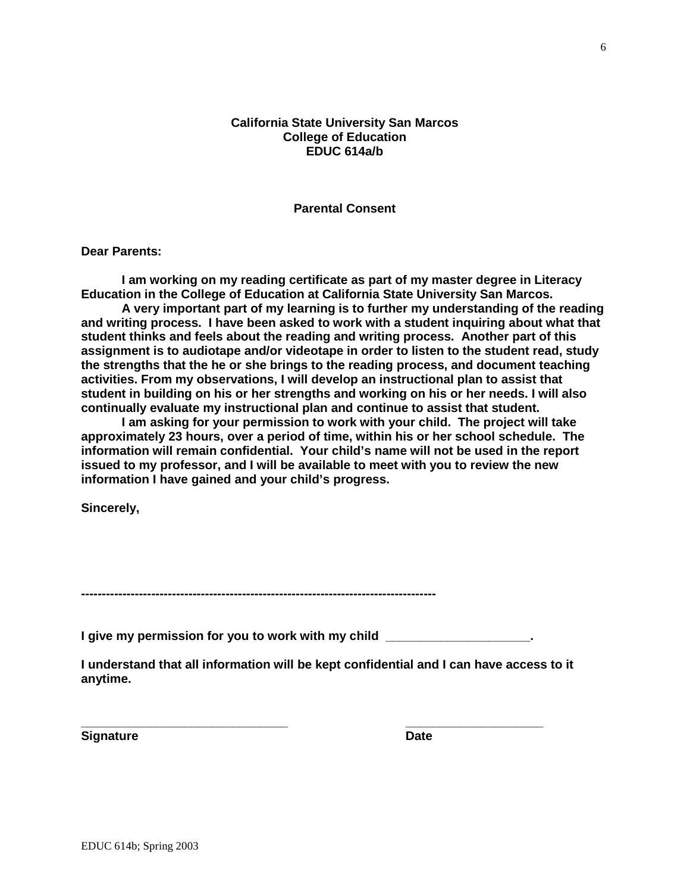#### **California State University San Marcos College of Education EDUC 614a/b**

**Parental Consent**

**Dear Parents:**

**I am working on my reading certificate as part of my master degree in Literacy Education in the College of Education at California State University San Marcos.** 

**A very important part of my learning is to further my understanding of the reading and writing process. I have been asked to work with a student inquiring about what that student thinks and feels about the reading and writing process. Another part of this assignment is to audiotape and/or videotape in order to listen to the student read, study the strengths that the he or she brings to the reading process, and document teaching activities. From my observations, I will develop an instructional plan to assist that student in building on his or her strengths and working on his or her needs. I will also continually evaluate my instructional plan and continue to assist that student.** 

**I am asking for your permission to work with your child. The project will take approximately 23 hours, over a period of time, within his or her school schedule. The information will remain confidential. Your child's name will not be used in the report issued to my professor, and I will be available to meet with you to review the new information I have gained and your child's progress.**

**Sincerely,**

**--------------------------------------------------------------------------------------**

**I** give my permission for you to work with my child

**\_\_\_\_\_\_\_\_\_\_\_\_\_\_\_\_\_\_\_\_\_\_\_\_\_\_\_\_\_\_ \_\_\_\_\_\_\_\_\_\_\_\_\_\_\_\_\_\_\_\_**

**I understand that all information will be kept confidential and I can have access to it anytime.**

**Signature Date**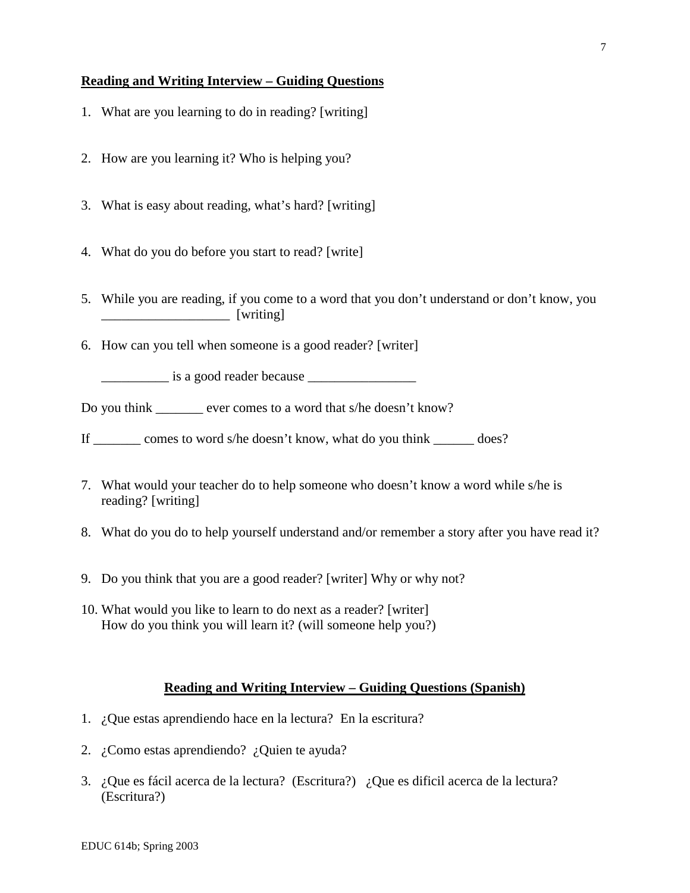#### **Reading and Writing Interview – Guiding Questions**

- 1. What are you learning to do in reading? [writing]
- 2. How are you learning it? Who is helping you?
- 3. What is easy about reading, what's hard? [writing]
- 4. What do you do before you start to read? [write]
- 5. While you are reading, if you come to a word that you don't understand or don't know, you  $[writing]$
- 6. How can you tell when someone is a good reader? [writer]

 $\frac{1}{\sqrt{1-\frac{1}{\sqrt{1-\frac{1}{\sqrt{1-\frac{1}{\sqrt{1-\frac{1}{\sqrt{1-\frac{1}{\sqrt{1-\frac{1}{\sqrt{1-\frac{1}{\sqrt{1-\frac{1}{\sqrt{1-\frac{1}{\sqrt{1-\frac{1}{\sqrt{1-\frac{1}{\sqrt{1-\frac{1}{\sqrt{1-\frac{1}{\sqrt{1-\frac{1}{\sqrt{1-\frac{1}{\sqrt{1-\frac{1}{\sqrt{1-\frac{1}{\sqrt{1-\frac{1}{\sqrt{1-\frac{1}{\sqrt{1-\frac{1}{\sqrt{1-\frac{1}{\sqrt{1-\frac{1}{\sqrt{1-\frac{1}{\sqrt{1-\frac{1$ 

Do you think \_\_\_\_\_\_\_ ever comes to a word that s/he doesn't know?

If \_\_\_\_\_\_\_ comes to word s/he doesn't know, what do you think \_\_\_\_\_\_ does?

- 7. What would your teacher do to help someone who doesn't know a word while s/he is reading? [writing]
- 8. What do you do to help yourself understand and/or remember a story after you have read it?
- 9. Do you think that you are a good reader? [writer] Why or why not?
- 10. What would you like to learn to do next as a reader? [writer] How do you think you will learn it? (will someone help you?)

#### **Reading and Writing Interview – Guiding Questions (Spanish)**

- 1. ¿Que estas aprendiendo hace en la lectura? En la escritura?
- 2. ¿Como estas aprendiendo? ¿Quien te ayuda?
- 3. ¿Que es fácil acerca de la lectura? (Escritura?) ¿Que es dificil acerca de la lectura? (Escritura?)